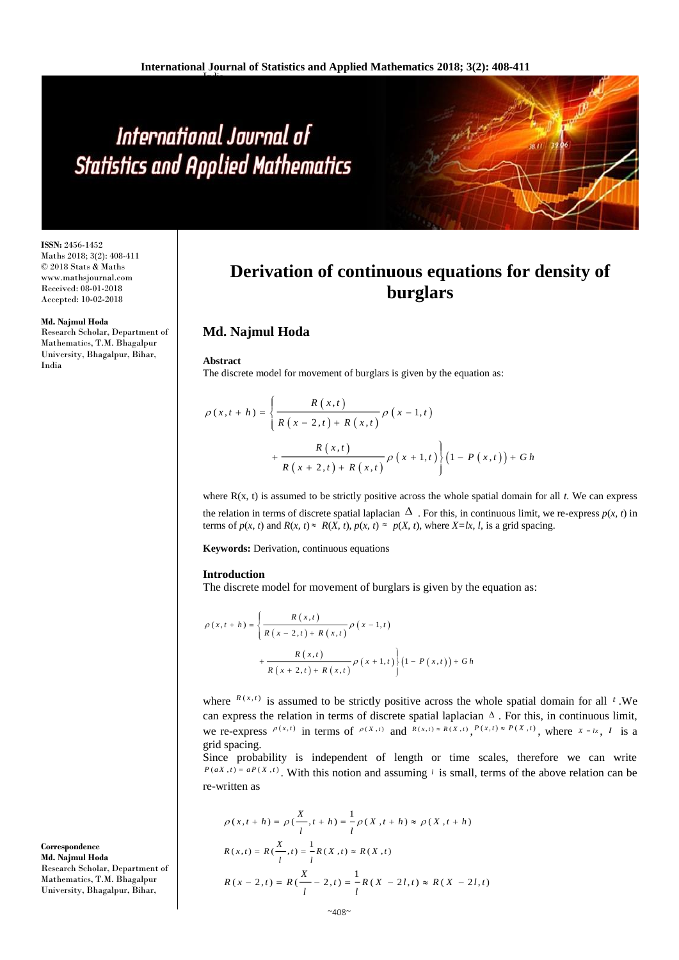# International Journal of **Statistics and Applied Mathematics**

**ISSN:** 2456-1452 Maths 2018; 3(2): 408-411 © 2018 Stats & Maths www.mathsjournal.com Received: 08-01-2018 Accepted: 10-02-2018

#### **Md. Najmul Hoda**

Research Scholar, Department of Mathematics, T.M. Bhagalpur University, Bhagalpur, Bihar, India

**Derivation of continuous equations for density of burglars**

## **Md. Najmul Hoda**

**Abstract**

The discrete model for movement of burglars is given by the equation as:

$$
\rho(x,t+h) = \left\{ \frac{R(x,t)}{R(x-2,t) + R(x,t)} \rho(x-1,t) + \frac{R(x,t)}{R(x+2,t) + R(x,t)} \rho(x+1,t) \right\} (1 - P(x,t)) + Gh
$$

where  $R(x, t)$  is assumed to be strictly positive across the whole spatial domain for all  $t$ . We can express the relation in terms of discrete spatial laplacian  $\Delta$ . For this, in continuous limit, we re-express  $p(x, t)$  in terms of  $p(x, t)$  and  $R(x, t) \approx R(X, t)$ ,  $p(x, t) \approx p(X, t)$ , where  $X = lx, l$ , is a grid spacing.

**Keywords:** Derivation, continuous equations

#### **Introduction**

The discrete model for movement of burglars is given by the equation as:

$$
\rho(x, t+h) = \left\{ \frac{R(x,t)}{R(x-2,t) + R(x,t)} \rho(x-1,t) + \frac{R(x,t)}{R(x+2,t) + R(x,t)} \rho(x+1,t) \right\} (1 - P(x,t)) + Gh
$$

where  $R(x,t)$  is assumed to be strictly positive across the whole spatial domain for all  $t$ . We can express the relation in terms of discrete spatial laplacian  $\Delta$ . For this, in continuous limit, we re-express  $\rho(x,t)$  in terms of  $\rho(x,t)$  and  $R(x,t) \approx R(x,t) \approx P(x,t) \approx P(x,t)$ , where  $x = tx$ , l is a grid spacing.

Since probability is independent of length or time scales, therefore we can write  $P(aX, t) = aP(X, t)$ . With this notion and assuming *l* is small, terms of the above relation can be re-written as

$$
\rho(x, t+h) = \rho(\frac{X}{l}, t+h) = \frac{1}{l}\rho(X, t+h) \approx \rho(X, t+h)
$$
  

$$
R(x,t) = R(\frac{X}{l}, t) = \frac{1}{l}R(X, t) \approx R(X, t)
$$
  

$$
R(x - 2, t) = R(\frac{X}{l} - 2, t) = \frac{1}{l}R(X - 2l, t) \approx R(X - 2l, t)
$$

**Correspondence Md. Najmul Hoda** Research Scholar, Department of Mathematics, T.M. Bhagalpur University, Bhagalpur, Bihar,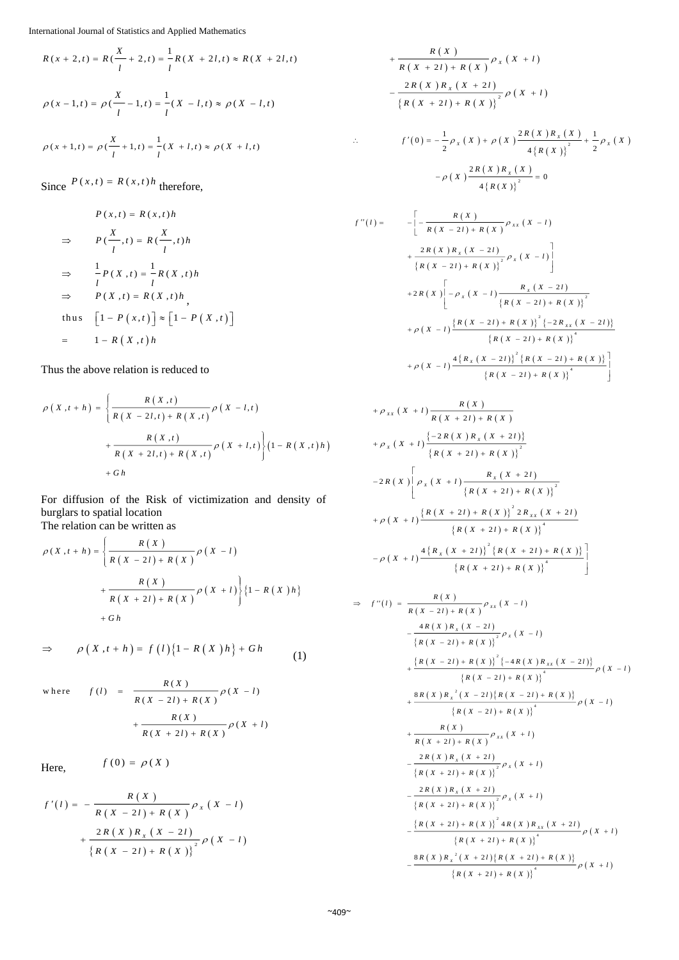$$
R(x + 2, t) = R\left(\frac{X}{l} + 2, t\right) = \frac{1}{l}R\left(X + 2l, t\right) \approx R\left(X + 2l, t\right)
$$

$$
\rho(x - 1, t) = \rho\left(\frac{X}{l} - 1, t\right) = \frac{1}{l}(X - l, t) \approx \rho(X - l, t)
$$
  

$$
\rho(x + 1, t) = \rho\left(\frac{X}{l} + 1, t\right) = \frac{1}{l}(X + l, t) \approx \rho(X + l, t)
$$

Since  $P(x,t) = R(x,t)h$  therefore,

$$
P(x,t) = R(x,t)h
$$
  
\n
$$
\Rightarrow P(\frac{X}{l},t) = R(\frac{X}{l},t)h
$$
  
\n
$$
\Rightarrow \frac{1}{l}P(X,t) = \frac{1}{l}R(X,t)h
$$
  
\n
$$
\Rightarrow P(X,t) = R(X,t)h
$$
  
\nthus  $[1-P(x,t)] \approx [1-P(X,t)]$   
\n
$$
= 1-R(X,t)h
$$

Thus the above relation is reduced to

$$
\rho(X, t+h) = \left\{ \frac{R(X, t)}{R(X - 2l, t) + R(X, t)} \rho(X - l, t) + \frac{R(X, t)}{R(X + 2l, t) + R(X, t)} \rho(X + l, t) \right\} (1 - R(X, t)h) + Gh
$$

For diffusion of the Risk of victimization and density of burglars to spatial location The relation can be written as

$$
\rho(X, t+h) = \left\{ \frac{R(X)}{R(X - 2l) + R(X)} \rho(X - l) + \frac{R(X)}{R(X + 2l) + R(X)} \rho(X + l) \right\} \{1 - R(X)h\} + Gh
$$

$$
\Rightarrow \qquad \rho(X,t+h) = f(l)\{1 - R(X)h\} + Gh \qquad (1)
$$

where 
$$
f(l) = \frac{R(X)}{R(X - 2l) + R(X)} \rho(X - l)
$$
  
  $+ \frac{R(X)}{R(X + 2l) + R(X)} \rho(X + l)$ 

Here,

$$
f\left( 0\right) =\,\rho\left( X\,\right)
$$

$$
f'(l) = -\frac{R(X)}{R(X - 2l) + R(X)} \rho_X(X - l)
$$
  
+ 
$$
\frac{2R(X)R_X(X - 2l)}{R(X - 2l) + R(X)]^2} \rho(X - l)
$$

$$
+\frac{R(X)}{R(X+2l) + R(X)} \rho_X(X+l)
$$
  

$$
-\frac{2R(X)R_X(X+2l)}{\left\{R(X+2l) + R(X)\right\}^2} \rho(X+l)
$$
  

$$
\therefore f'(0) = -\frac{1}{2}\rho_X(X) + \rho(X)\frac{2R(X)R_X(X)}{4\left\{R(X)\right\}^2} + \frac{1}{2}\rho_X(X)
$$

$$
-\rho\left(X\right)\frac{2R\left(X\right)R_{X}\left(X\right)}{4\left\{R\left(X\right)\right\}^{2}}=0
$$

$$
f''(l) = -\left[ -\frac{R(X)}{R(X - 2l) + R(X)} \rho_{xx}(X - l) + \frac{2R(X)R_{x}(X - 2l)}{\left\{R(X - 2l) + R(X)\right\}^{2}} \rho_{x}(X - l) \right]
$$
  
+2R(X)\left[ -\rho\_{x}(X - l) \frac{R\_{x}(X - 2l)}{\left\{R(X - 2l) + R(X)\right\}^{2}} + \rho(X - l) \frac{\left\{R(X - 2l) + R(X)\right\}^{2}\left\{-2R\_{xx}(X - 2l)\right\}}{\left\{R(X - 2l) + R(X)\right\}^{4}} + \rho(X - l) \frac{4\left\{R\_{x}(X - 2l)\right\}^{2}\left\{R(X - 2l) + R(X)\right\}^{4}}{\left\{R(X - 2l) + R(X)\right\}^{4}} \right]

$$
+ \rho_{xx}(X+l) \frac{R(X)}{R(X+2l) + R(X)}
$$
  
+  $\rho_x(X+l) \frac{\{-2R(X)R_x(X+2l)\}}{\{R(X+2l) + R(X)\}^2}$   
-  $2R(X) \left[ \rho_x(X+l) \frac{R_x(X+2l)}{\{R(X+2l) + R(X)\}^2} + \rho(X+l) \frac{\{R(X+2l) + R(X)\}^2}{\{R(X+2l) + R(X)\}^4} - \rho(X+l) \frac{4\{R_x(X+2l) + R(X)\}^4}{\{R(X+2l) + R(X)\}^4} \right]$ 

$$
\Rightarrow f''(l) = \frac{R(X)}{R(X - 2l) + R(X)} \rho_{xx}(X - l)
$$
  
\n
$$
- \frac{4R(X)R_X(X - 2l)}{\{R(X - 2l) + R(X)\}} \rho_X(X - l)
$$
  
\n
$$
+ \frac{\{R(X - 2l) + R(X)\}}{\{R(X - 2l) + R(X)\}} \frac{\{-4R(X)R_{xx}(X - 2l)\}}{\rho(X - l)}
$$
  
\n
$$
+ \frac{8R(X)R_X^{-2}(X - 2l)\{R(X - 2l) + R(X)\}}{\{R(X - 2l) + R(X)\}} \rho(X - l)
$$
  
\n
$$
+ \frac{R(X)}{R(X + 2l) + R(X)} \rho_{xx}(X + l)
$$
  
\n
$$
- \frac{2R(X)R_X(X + 2l)}{\{R(X + 2l) + R(X)\}} \rho_X(X + l)
$$
  
\n
$$
- \frac{2R(X)R_X(X + 2l)}{\{R(X + 2l) + R(X)\}} \rho_X(X + l)
$$
  
\n
$$
- \frac{2R(X)R_X(X + 2l)}{\{R(X + 2l) + R(X)\}} \rho_X(X + l)
$$
  
\n
$$
- \frac{\{R(X + 2l) + R(X)\}}{\{R(X + 2l) + R(X)\}} \rho(X + l)
$$
  
\n
$$
+ \frac{8R(X)R_X^{-2}(X + 2l)\{R(X + 2l) + R(X)\}}{\{R(X + 2l) + R(X)\}} \rho(X + l)
$$
  
\n
$$
+ \frac{8R(X)R_X^{-2}(X + 2l)\{R(X + 2l) + R(X)\}}{\{R(X + 2l) + R(X)\}} \rho(X + l)
$$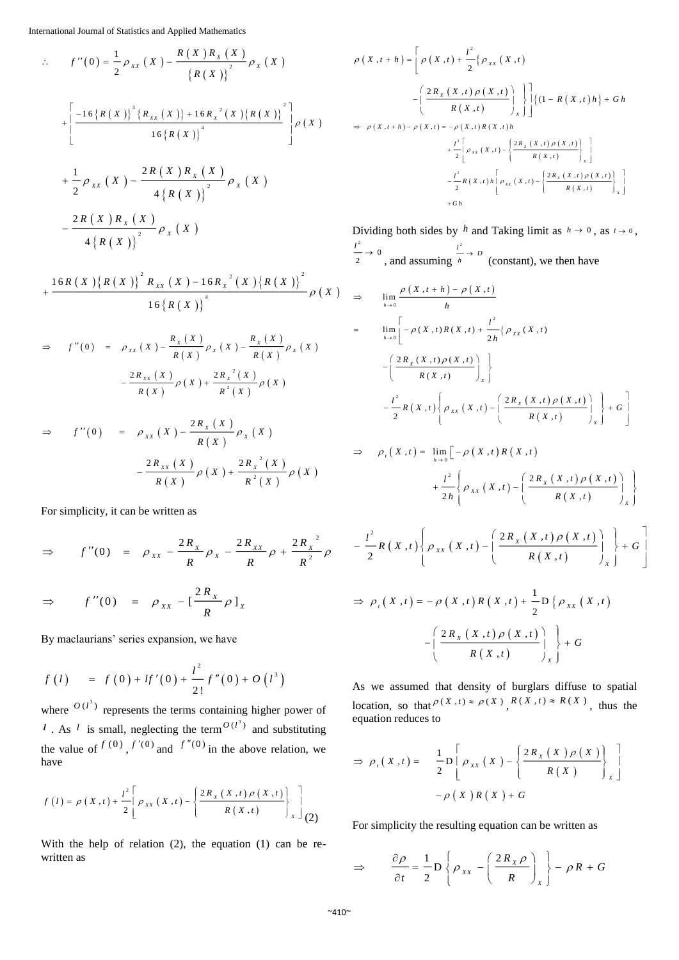International Journal of Statistics and Applied Mathematics

$$
f''(0) = \frac{1}{2} \rho_{xx}(X) - \frac{R(X)R_{x}(X)}{R(X)} \rho_{x}(X)
$$
  
+ 
$$
\left[ \frac{-16\{R(X)\}^{3}\{R_{xx}(X)\} + 16R_{x}^{2}(X)\{R(X)\}^{2}}{16\{R(X)\}^{4}} \right] \rho(X)
$$
  
+ 
$$
\frac{1}{2} \rho_{xx}(X) - \frac{2R(X)R_{x}(X)}{4\{R(X)\}^{2}} \rho_{x}(X)
$$
  
- 
$$
\frac{2R(X)R_{x}(X)}{4\{R(X)\}^{2}} \rho_{x}(X)
$$

$$
+\frac{16R(X)\{R(X)\}^{2}R_{xx}(X)-16R_{x}^{2}(X)\{R(X)\}^{2}}{16\{R(X)\}^{4}}\rho(X)
$$

$$
\Rightarrow f''(0) = \rho_{xx}(X) - \frac{R_x(X)}{R(X)} \rho_x(X) - \frac{R_x(X)}{R(X)} \rho_x(X)
$$

$$
- \frac{2R_{xx}(X)}{R(X)} \rho(X) + \frac{2R_x^2(X)}{R^2(X)} \rho(X)
$$

$$
\Rightarrow f''(0) = \rho_{xx}(X) - \frac{2R_x(X)}{R(X)} \rho_x(X)
$$

$$
- \frac{2R_{xx}(X)}{R(X)} \rho(X) + \frac{2R_x^{2}(X)}{R(X)} \rho(X)
$$

For simplicity, it can be written as

$$
\Rightarrow f''(0) = \rho_{xx} - \frac{2R_x}{R} \rho_x - \frac{2R_{xx}}{R} \rho + \frac{2R_x^2}{R^2} \rho
$$
  

$$
\Rightarrow f''(0) = \rho_{xx} - \left[\frac{2R_x}{R} \rho\right]_x
$$

By maclaurians' series expansion, we have

$$
f(l) = f(0) + lf'(0) + \frac{l^2}{2!}f''(0) + O(l^3)
$$

where  $O(l^3)$  represents the terms containing higher power of *l*. As *l* is small, neglecting the term  $O(l^3)$  and substituting the value of  $f^{(0)}$ ,  $f'(0)$  and  $f''(0)$  in the above relation, we have

$$
f(t) = \rho(X,t) + \frac{t^{2}}{2} \left[ \rho_{XX}(X,t) - \left\{ \frac{2R_{X}(X,t) \rho(X,t)}{R(X,t)} \right\}_{X} \right]_{(2)}
$$

With the help of relation (2), the equation (1) can be rewritten as

$$
\rho(X,t+h) = \left[ \rho(X,t) + \frac{l^2}{2} \{ \rho_{XX}(X,t) - \left( \frac{2R_X(X,t) \rho(X,t)}{R(X,t)} \right)_X \} \right] \left\{ (1 - R(X,t)h) + Gh + \frac{l^2}{2} \Bigg[ \rho_{XX}(X,t) - \left( \frac{2R_X(X,t) \rho(X,t)}{R(X,t)} \right)_X \right] \right\}
$$
  
\n
$$
\Rightarrow \rho(X,t+h) - \rho(X,t) = -\rho(X,t)R(X,t)h + \frac{l^2}{2} \Bigg[ \rho_{XX}(X,t) - \left\{ \frac{2R_X(X,t) \rho(X,t)}{R(X,t)} \right\}_X \Bigg]
$$
  
\n
$$
- \frac{l^2}{2} R(X,t)h \Bigg[ \rho_{XX}(X,t) - \left\{ \frac{2R_X(X,t) \rho(X,t)}{R(X,t)} \right\}_X \Bigg]
$$
  
\n
$$
+ Gh
$$

Dividing both sides by h and Taking limit as  $h \to 0$ , as  $l \to 0$ ,  $\frac{1^2}{2} \rightarrow 0$  $\frac{l^2}{2} \rightarrow 0$ , and assuming  $\frac{u^2}{h} \rightarrow D$  (constant), we then have

$$
\Rightarrow \lim_{h \to 0} \frac{\rho(X, t+h) - \rho(X, t)}{h}
$$
\n
$$
= \lim_{h \to 0} \left[ -\rho(X, t)R(X, t) + \frac{t^2}{2h} \{ \rho_{XX}(X, t) - \left( \frac{2R_X(X, t)\rho(X, t)}{R(X, t)} \right)_X \right]
$$
\n
$$
- \frac{t^2}{2} R(X, t) \left\{ \rho_{XX}(X, t) - \left( \frac{2R_X(X, t)\rho(X, t)}{R(X, t)} \right)_X \right\} + G
$$

$$
\Rightarrow \rho_{t}(X,t) = \lim_{h \to 0} \left[ -\rho(X,t) R(X,t) + \frac{l^{2}}{2h} \left\{ \rho_{xx}(X,t) - \left( \frac{2R_{X}(X,t)\rho(X,t)}{R(X,t)} \right)_{X} \right\} \right]
$$

$$
-\frac{l^{2}}{2}R(X,t)\left\{\rho_{XX}(X,t)-\left(\frac{2R_{X}(X,t)\rho(X,t)}{R(X,t)}\right)_{X}\right\}+G\right]
$$

$$
\Rightarrow \rho_{t}(X,t) = -\rho(X,t)R(X,t) + \frac{1}{2}D\left\{\rho_{XX}(X,t)\right\}
$$

$$
-\left(\frac{2R_{X}(X,t)\rho(X,t)}{R(X,t)}\right)_{X} + G
$$

As we assumed that density of burglars diffuse to spatial location, so that  $P(X, t) \approx P(X)$ ,  $R(X, t) \approx R(X)$ , thus the equation reduces to

$$
\Rightarrow \rho_{t}(X,t) = \frac{1}{2} \mathsf{D} \left[ \rho_{XX}(X) - \left\{ \frac{2R_{X}(X) \rho(X)}{R(X)} \right\}_{X} \right] - \rho(X)R(X) + G
$$

For simplicity the resulting equation can be written as

$$
\Rightarrow \qquad \frac{\partial \rho}{\partial t} = \frac{1}{2} \mathbf{D} \left\{ \rho_{xx} - \left( \frac{2R_x \rho}{R} \right)_x \right\} - \rho R + G
$$